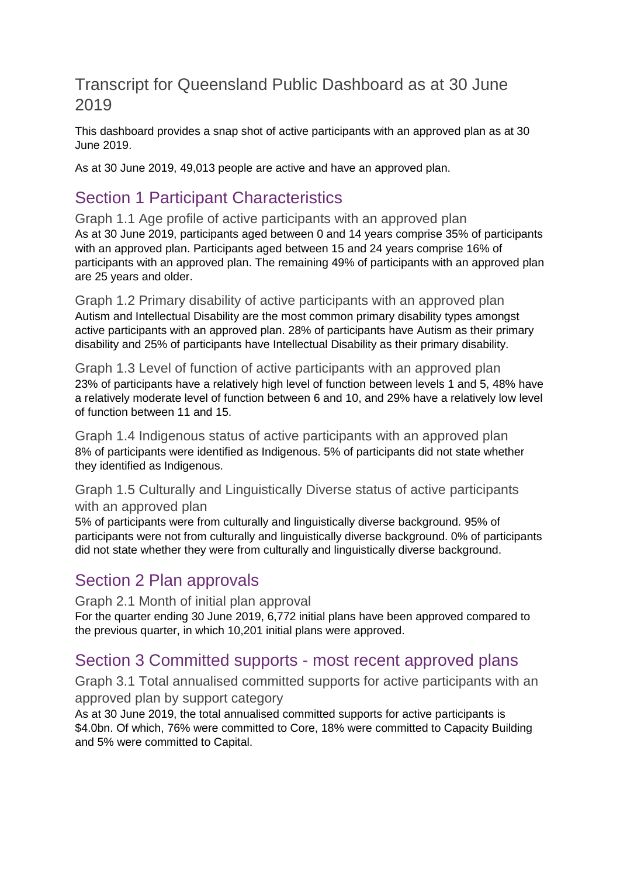### Transcript for Queensland Public Dashboard as at 30 June 2019

This dashboard provides a snap shot of active participants with an approved plan as at 30 June 2019.

As at 30 June 2019, 49,013 people are active and have an approved plan.

# Section 1 Participant Characteristics

Graph 1.1 Age profile of active participants with an approved plan As at 30 June 2019, participants aged between 0 and 14 years comprise 35% of participants with an approved plan. Participants aged between 15 and 24 years comprise 16% of participants with an approved plan. The remaining 49% of participants with an approved plan are 25 years and older.

Graph 1.2 Primary disability of active participants with an approved plan Autism and Intellectual Disability are the most common primary disability types amongst active participants with an approved plan. 28% of participants have Autism as their primary disability and 25% of participants have Intellectual Disability as their primary disability.

Graph 1.3 Level of function of active participants with an approved plan 23% of participants have a relatively high level of function between levels 1 and 5, 48% have a relatively moderate level of function between 6 and 10, and 29% have a relatively low level of function between 11 and 15.

Graph 1.4 Indigenous status of active participants with an approved plan 8% of participants were identified as Indigenous. 5% of participants did not state whether they identified as Indigenous.

#### Graph 1.5 Culturally and Linguistically Diverse status of active participants with an approved plan

5% of participants were from culturally and linguistically diverse background. 95% of participants were not from culturally and linguistically diverse background. 0% of participants did not state whether they were from culturally and linguistically diverse background.

## Section 2 Plan approvals

Graph 2.1 Month of initial plan approval For the quarter ending 30 June 2019, 6,772 initial plans have been approved compared to the previous quarter, in which 10,201 initial plans were approved.

## Section 3 Committed supports - most recent approved plans

Graph 3.1 Total annualised committed supports for active participants with an approved plan by support category

As at 30 June 2019, the total annualised committed supports for active participants is \$4.0bn. Of which, 76% were committed to Core, 18% were committed to Capacity Building and 5% were committed to Capital.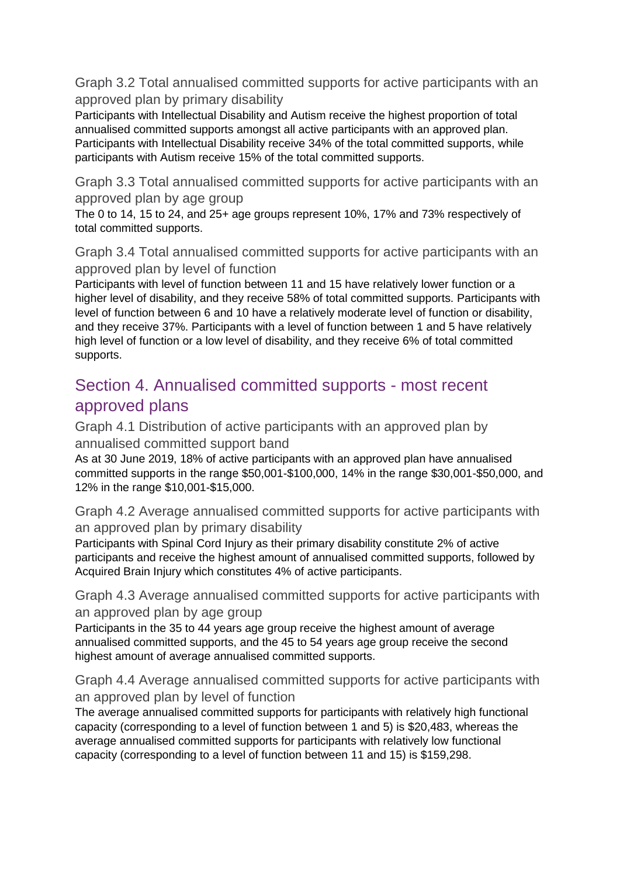Graph 3.2 Total annualised committed supports for active participants with an approved plan by primary disability

Participants with Intellectual Disability and Autism receive the highest proportion of total annualised committed supports amongst all active participants with an approved plan. Participants with Intellectual Disability receive 34% of the total committed supports, while participants with Autism receive 15% of the total committed supports.

Graph 3.3 Total annualised committed supports for active participants with an approved plan by age group

The 0 to 14, 15 to 24, and 25+ age groups represent 10%, 17% and 73% respectively of total committed supports.

Graph 3.4 Total annualised committed supports for active participants with an approved plan by level of function

Participants with level of function between 11 and 15 have relatively lower function or a higher level of disability, and they receive 58% of total committed supports. Participants with level of function between 6 and 10 have a relatively moderate level of function or disability, and they receive 37%. Participants with a level of function between 1 and 5 have relatively high level of function or a low level of disability, and they receive 6% of total committed supports.

# Section 4. Annualised committed supports - most recent approved plans

Graph 4.1 Distribution of active participants with an approved plan by annualised committed support band

As at 30 June 2019, 18% of active participants with an approved plan have annualised committed supports in the range \$50,001-\$100,000, 14% in the range \$30,001-\$50,000, and 12% in the range \$10,001-\$15,000.

Graph 4.2 Average annualised committed supports for active participants with an approved plan by primary disability

Participants with Spinal Cord Injury as their primary disability constitute 2% of active participants and receive the highest amount of annualised committed supports, followed by Acquired Brain Injury which constitutes 4% of active participants.

Graph 4.3 Average annualised committed supports for active participants with an approved plan by age group

Participants in the 35 to 44 years age group receive the highest amount of average annualised committed supports, and the 45 to 54 years age group receive the second highest amount of average annualised committed supports.

Graph 4.4 Average annualised committed supports for active participants with an approved plan by level of function

The average annualised committed supports for participants with relatively high functional capacity (corresponding to a level of function between 1 and 5) is \$20,483, whereas the average annualised committed supports for participants with relatively low functional capacity (corresponding to a level of function between 11 and 15) is \$159,298.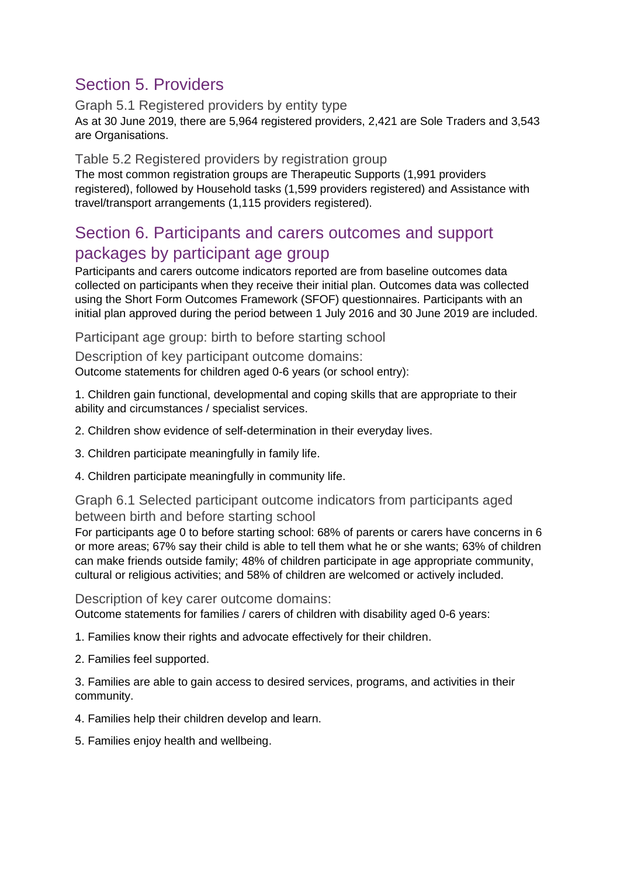# Section 5. Providers

Graph 5.1 Registered providers by entity type As at 30 June 2019, there are 5,964 registered providers, 2,421 are Sole Traders and 3,543 are Organisations.

#### Table 5.2 Registered providers by registration group

The most common registration groups are Therapeutic Supports (1,991 providers registered), followed by Household tasks (1,599 providers registered) and Assistance with travel/transport arrangements (1,115 providers registered).

### Section 6. Participants and carers outcomes and support packages by participant age group

Participants and carers outcome indicators reported are from baseline outcomes data collected on participants when they receive their initial plan. Outcomes data was collected using the Short Form Outcomes Framework (SFOF) questionnaires. Participants with an initial plan approved during the period between 1 July 2016 and 30 June 2019 are included.

Participant age group: birth to before starting school

Description of key participant outcome domains: Outcome statements for children aged 0-6 years (or school entry):

1. Children gain functional, developmental and coping skills that are appropriate to their ability and circumstances / specialist services.

2. Children show evidence of self-determination in their everyday lives.

3. Children participate meaningfully in family life.

4. Children participate meaningfully in community life.

Graph 6.1 Selected participant outcome indicators from participants aged between birth and before starting school

For participants age 0 to before starting school: 68% of parents or carers have concerns in 6 or more areas; 67% say their child is able to tell them what he or she wants; 63% of children can make friends outside family; 48% of children participate in age appropriate community, cultural or religious activities; and 58% of children are welcomed or actively included.

Description of key carer outcome domains:

Outcome statements for families / carers of children with disability aged 0-6 years:

1. Families know their rights and advocate effectively for their children.

2. Families feel supported.

3. Families are able to gain access to desired services, programs, and activities in their community.

4. Families help their children develop and learn.

5. Families enjoy health and wellbeing.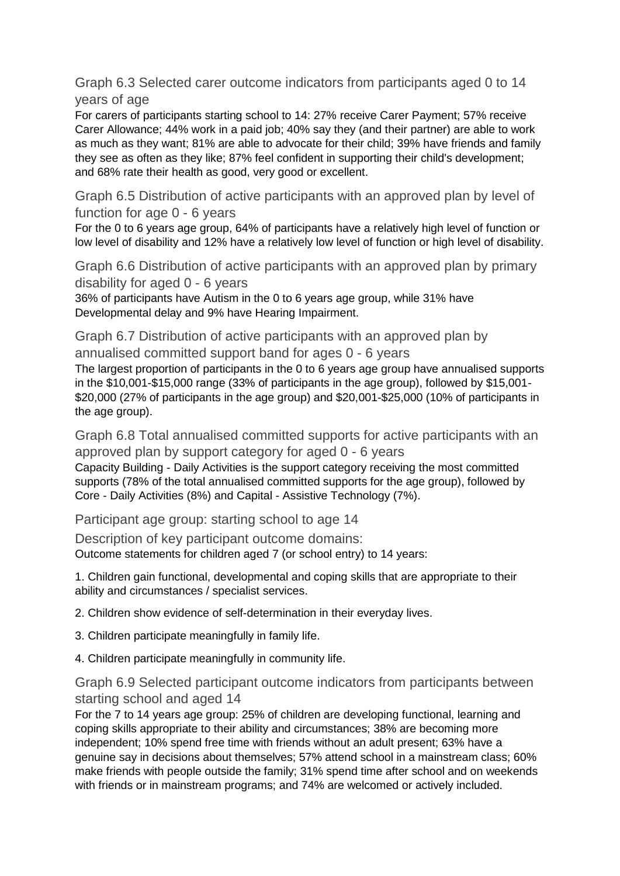Graph 6.3 Selected carer outcome indicators from participants aged 0 to 14 years of age

For carers of participants starting school to 14: 27% receive Carer Payment; 57% receive Carer Allowance; 44% work in a paid job; 40% say they (and their partner) are able to work as much as they want; 81% are able to advocate for their child; 39% have friends and family they see as often as they like; 87% feel confident in supporting their child's development; and 68% rate their health as good, very good or excellent.

Graph 6.5 Distribution of active participants with an approved plan by level of function for age 0 - 6 years

For the 0 to 6 years age group, 64% of participants have a relatively high level of function or low level of disability and 12% have a relatively low level of function or high level of disability.

Graph 6.6 Distribution of active participants with an approved plan by primary disability for aged 0 - 6 years

36% of participants have Autism in the 0 to 6 years age group, while 31% have Developmental delay and 9% have Hearing Impairment.

Graph 6.7 Distribution of active participants with an approved plan by annualised committed support band for ages 0 - 6 years

The largest proportion of participants in the 0 to 6 years age group have annualised supports in the \$10,001-\$15,000 range (33% of participants in the age group), followed by \$15,001- \$20,000 (27% of participants in the age group) and \$20,001-\$25,000 (10% of participants in the age group).

Graph 6.8 Total annualised committed supports for active participants with an approved plan by support category for aged 0 - 6 years Capacity Building - Daily Activities is the support category receiving the most committed

supports (78% of the total annualised committed supports for the age group), followed by Core - Daily Activities (8%) and Capital - Assistive Technology (7%).

Participant age group: starting school to age 14

Description of key participant outcome domains: Outcome statements for children aged 7 (or school entry) to 14 years:

1. Children gain functional, developmental and coping skills that are appropriate to their ability and circumstances / specialist services.

2. Children show evidence of self-determination in their everyday lives.

3. Children participate meaningfully in family life.

4. Children participate meaningfully in community life.

#### Graph 6.9 Selected participant outcome indicators from participants between starting school and aged 14

For the 7 to 14 years age group: 25% of children are developing functional, learning and coping skills appropriate to their ability and circumstances; 38% are becoming more independent; 10% spend free time with friends without an adult present; 63% have a genuine say in decisions about themselves; 57% attend school in a mainstream class; 60% make friends with people outside the family; 31% spend time after school and on weekends with friends or in mainstream programs; and 74% are welcomed or actively included.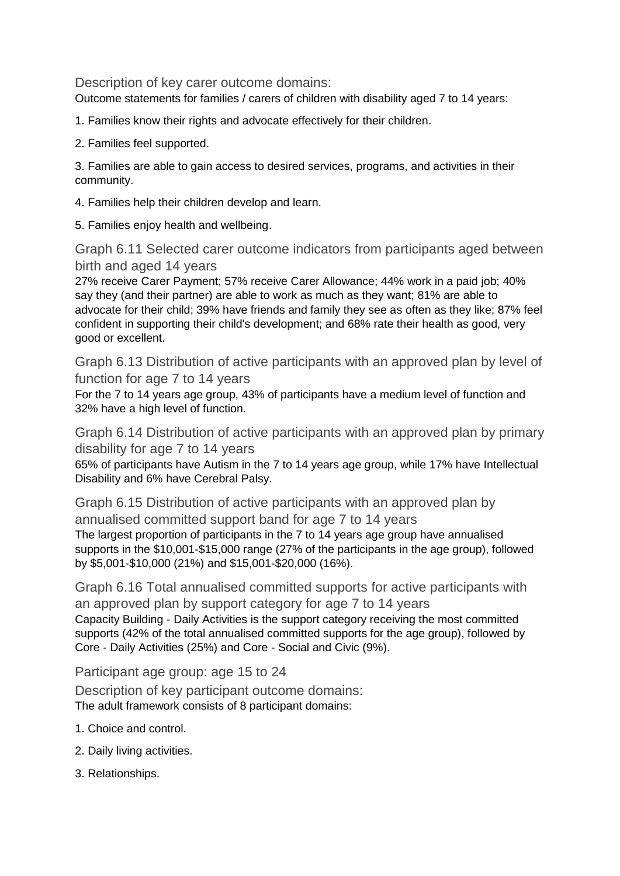Description of key carer outcome domains:

Outcome statements for families / carers of children with disability aged 7 to 14 years:

1. Families know their rights and advocate effectively for their children.

2. Families feel supported.

3. Families are able to gain access to desired services, programs, and activities in their community.

4. Families help their children develop and learn.

5. Families enjoy health and wellbeing.

Graph 6.11 Selected carer outcome indicators from participants aged between birth and aged 14 years

27% receive Carer Payment; 57% receive Carer Allowance; 44% work in a paid job; 40% say they (and their partner) are able to work as much as they want; 81% are able to advocate for their child; 39% have friends and family they see as often as they like; 87% feel confident in supporting their child's development; and 68% rate their health as good, very good or excellent.

Graph 6.13 Distribution of active participants with an approved plan by level of function for age 7 to 14 years

For the 7 to 14 years age group, 43% of participants have a medium level of function and 32% have a high level of function.

Graph 6.14 Distribution of active participants with an approved plan by primary disability for age 7 to 14 years

65% of participants have Autism in the 7 to 14 years age group, while 17% have Intellectual Disability and 6% have Cerebral Palsy.

Graph 6.15 Distribution of active participants with an approved plan by annualised committed support band for age 7 to 14 years The largest proportion of participants in the 7 to 14 years age group have annualised supports in the \$10,001-\$15,000 range (27% of the participants in the age group), followed by \$5,001-\$10,000 (21%) and \$15,001-\$20,000 (16%).

Graph 6.16 Total annualised committed supports for active participants with an approved plan by support category for age 7 to 14 years Capacity Building - Daily Activities is the support category receiving the most committed supports (42% of the total annualised committed supports for the age group), followed by Core - Daily Activities (25%) and Core - Social and Civic (9%).

Participant age group: age 15 to 24

Description of key participant outcome domains: The adult framework consists of 8 participant domains:

- 1. Choice and control.
- 2. Daily living activities.
- 3. Relationships.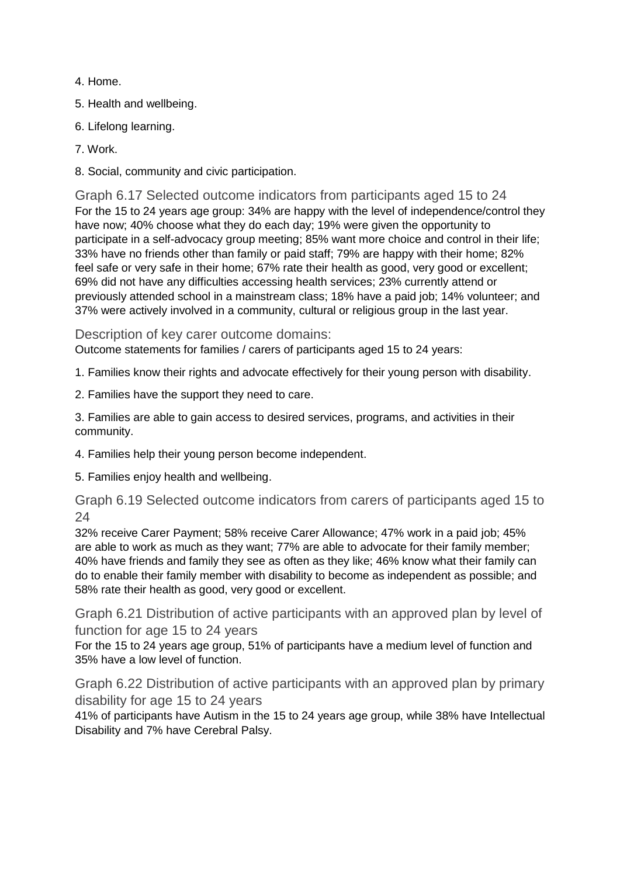- 4. Home.
- 5. Health and wellbeing.
- 6. Lifelong learning.
- 7. Work.
- 8. Social, community and civic participation.

Graph 6.17 Selected outcome indicators from participants aged 15 to 24 For the 15 to 24 years age group: 34% are happy with the level of independence/control they have now; 40% choose what they do each day; 19% were given the opportunity to participate in a self-advocacy group meeting; 85% want more choice and control in their life; 33% have no friends other than family or paid staff; 79% are happy with their home; 82% feel safe or very safe in their home; 67% rate their health as good, very good or excellent; 69% did not have any difficulties accessing health services; 23% currently attend or previously attended school in a mainstream class; 18% have a paid job; 14% volunteer; and 37% were actively involved in a community, cultural or religious group in the last year.

Description of key carer outcome domains:

Outcome statements for families / carers of participants aged 15 to 24 years:

- 1. Families know their rights and advocate effectively for their young person with disability.
- 2. Families have the support they need to care.

3. Families are able to gain access to desired services, programs, and activities in their community.

- 4. Families help their young person become independent.
- 5. Families enjoy health and wellbeing.

Graph 6.19 Selected outcome indicators from carers of participants aged 15 to 24

32% receive Carer Payment; 58% receive Carer Allowance; 47% work in a paid job; 45% are able to work as much as they want; 77% are able to advocate for their family member; 40% have friends and family they see as often as they like; 46% know what their family can do to enable their family member with disability to become as independent as possible; and 58% rate their health as good, very good or excellent.

Graph 6.21 Distribution of active participants with an approved plan by level of function for age 15 to 24 years

For the 15 to 24 years age group, 51% of participants have a medium level of function and 35% have a low level of function.

Graph 6.22 Distribution of active participants with an approved plan by primary disability for age 15 to 24 years

41% of participants have Autism in the 15 to 24 years age group, while 38% have Intellectual Disability and 7% have Cerebral Palsy.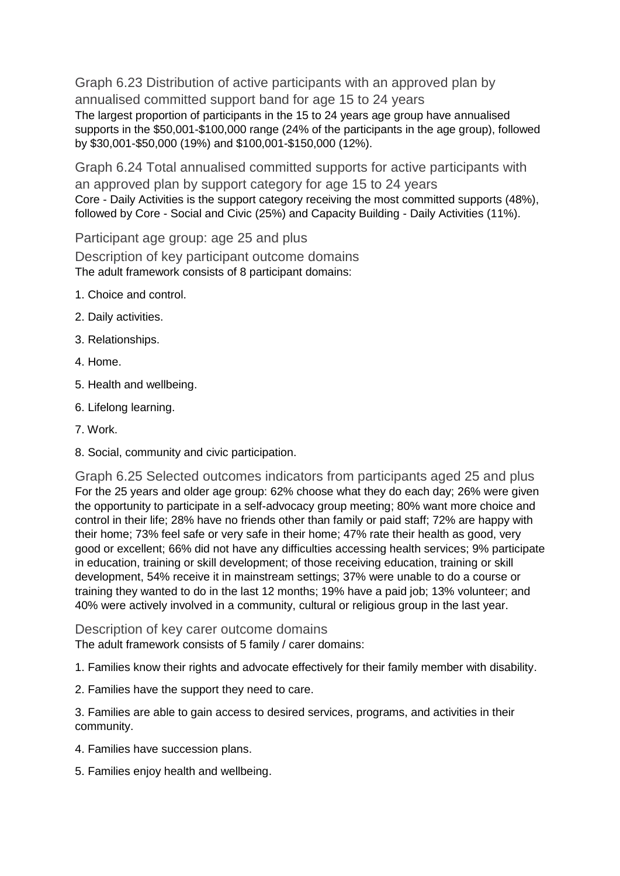Graph 6.23 Distribution of active participants with an approved plan by annualised committed support band for age 15 to 24 years The largest proportion of participants in the 15 to 24 years age group have annualised supports in the \$50,001-\$100,000 range (24% of the participants in the age group), followed by \$30,001-\$50,000 (19%) and \$100,001-\$150,000 (12%).

Graph 6.24 Total annualised committed supports for active participants with an approved plan by support category for age 15 to 24 years Core - Daily Activities is the support category receiving the most committed supports (48%), followed by Core - Social and Civic (25%) and Capacity Building - Daily Activities (11%).

Participant age group: age 25 and plus

Description of key participant outcome domains The adult framework consists of 8 participant domains:

- 1. Choice and control.
- 2. Daily activities.
- 3. Relationships.
- 4. Home.
- 5. Health and wellbeing.
- 6. Lifelong learning.
- 7. Work.
- 8. Social, community and civic participation.

Graph 6.25 Selected outcomes indicators from participants aged 25 and plus For the 25 years and older age group: 62% choose what they do each day; 26% were given the opportunity to participate in a self-advocacy group meeting; 80% want more choice and control in their life; 28% have no friends other than family or paid staff; 72% are happy with their home; 73% feel safe or very safe in their home; 47% rate their health as good, very good or excellent; 66% did not have any difficulties accessing health services; 9% participate in education, training or skill development; of those receiving education, training or skill development, 54% receive it in mainstream settings; 37% were unable to do a course or training they wanted to do in the last 12 months; 19% have a paid job; 13% volunteer; and 40% were actively involved in a community, cultural or religious group in the last year.

Description of key carer outcome domains

The adult framework consists of 5 family / carer domains:

1. Families know their rights and advocate effectively for their family member with disability.

2. Families have the support they need to care.

3. Families are able to gain access to desired services, programs, and activities in their community.

- 4. Families have succession plans.
- 5. Families enjoy health and wellbeing.